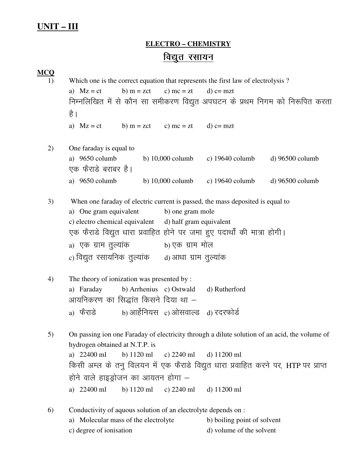## **UNIT – III**

## **ELECTRO – CHEMISTRY** विद्युत रसायन

**MCQ** 1) Which one is the correct equation that represents the first law of electrolysis ? a)  $Mz = ct$  b)  $m = zct$  c)  $mc = zt$  d)  $c = mzt$ निम्नलिखित में से कौन सा समीकरण विद्युत अपघटन के प्रथम निगम को निरूपित करता है । a)  $Mz = ct$  b)  $m = zct$  c)  $mc = zt$  d)  $c = mzt$ 2) One faraday is equal to a) 9650 columb b) 10,000 columb c) 19640 columb d) 96500 columb एक फैराडे बराबर है। a) 9650 columb b) 10,000 columb c) 19640 columb d) 96500 columb 3) When one faraday of electric current is passed, the mass deposited is equal to a) One gram equivalent b) one gram mole c) electro chemical equivalent d) half gram equivalent एक फैराडे विद्युत धारा प्रवाहित होने पर जमा हुए पदार्थों की मात्रा होगी। a) एक ग्राम तुल्यांक b) एक ग्राम मोल c) विद्युत रसायनिक तुल्यांक a) आधा ग्राम तुल्यांक 4) The theory of ionization was presented by : a) Faraday b) Arrhenius c) Ostwald d) Rutherford आयनिकरण का सिद्धांत किसने दिया था  $$ a) फैराडे b) आर्हेनियस c) ओसवाल्ड d) रदरफोर्ड 5) On passing ion one Faraday of electricity through a dilute solution of an acid, the volume of hydrogen obtained at N.T.P. is a) 22400 ml b) 1120 ml c) 2240 ml d) 11200 ml किसी अम्ल के तनू विलयन में एक फैराडे विद्युत धारा प्रवाहित करने पर, HTP पर प्राप्त होने वाले हाइड्रोजन का आयतन होगा  $$ a) 22400 ml b) 1120 ml c) 2240 ml d) 11200 ml 6) Conductivity of aquous solution of an electrolyte depends on :

a) Molecular mass of the electrolyte b) boiling point of solvent c) degree of ionisation d) volume of the solvent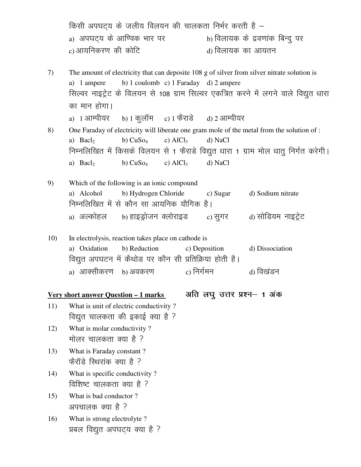|                                                                            | किसी अपघट्य के जलीय विलयन की चालकता निर्भर करती है -                                                                                                                                                                                        |                                                                                                                                                |                                                             |  |                                 |                   |  |
|----------------------------------------------------------------------------|---------------------------------------------------------------------------------------------------------------------------------------------------------------------------------------------------------------------------------------------|------------------------------------------------------------------------------------------------------------------------------------------------|-------------------------------------------------------------|--|---------------------------------|-------------------|--|
|                                                                            | a) अपघट्य के आण्विक भार पर                                                                                                                                                                                                                  |                                                                                                                                                |                                                             |  | b) विलायक के द्रवणांक बिन्दु पर |                   |  |
|                                                                            | c) आयनिकरण की कोटि                                                                                                                                                                                                                          |                                                                                                                                                |                                                             |  | d) विलायक का आयतन               |                   |  |
|                                                                            |                                                                                                                                                                                                                                             |                                                                                                                                                |                                                             |  |                                 |                   |  |
| 7)                                                                         | The amount of electricity that can deposite 108 g of silver from silver nitrate solution is<br>b) 1 coulomb c) 1 Faraday d) 2 ampere<br>a) 1 ampere<br>सिल्वर नाइट्रेट के विलयन से 108 ग्राम सिल्वर एकत्रित करने में लगने वाले विद्युत धारा |                                                                                                                                                |                                                             |  |                                 |                   |  |
|                                                                            | का मान होगा।                                                                                                                                                                                                                                |                                                                                                                                                |                                                             |  |                                 |                   |  |
|                                                                            |                                                                                                                                                                                                                                             |                                                                                                                                                |                                                             |  |                                 |                   |  |
|                                                                            |                                                                                                                                                                                                                                             | a) 1 आम्पीयर b) 1 कुलॉम c) 1 फैराडे d) 2 आम्पीयर<br>One Faraday of electricity will liberate one gram mole of the metal from the solution of : |                                                             |  |                                 |                   |  |
| 8)                                                                         | a) $\text{Bacl}_2$                                                                                                                                                                                                                          | c) $AlCl3$ d) NaCl<br>b) $CuSo4$                                                                                                               |                                                             |  |                                 |                   |  |
|                                                                            | निम्नलिखित में किसके विलयन से 1 फैराडे विद्युत धारा 1 ग्राम मोल धातु निर्गत करेगी।                                                                                                                                                          |                                                                                                                                                |                                                             |  |                                 |                   |  |
|                                                                            | a) $\text{Bacl}_2$                                                                                                                                                                                                                          | b) $CuSo4$                                                                                                                                     | c) $AlCl3$                                                  |  | d) NaCl                         |                   |  |
|                                                                            |                                                                                                                                                                                                                                             |                                                                                                                                                |                                                             |  |                                 |                   |  |
| 9)                                                                         | Which of the following is an ionic compound                                                                                                                                                                                                 |                                                                                                                                                |                                                             |  |                                 |                   |  |
|                                                                            | a) Alcohol                                                                                                                                                                                                                                  |                                                                                                                                                | b) Hydrogen Chloride c) Sugar                               |  |                                 | d) Sodium nitrate |  |
|                                                                            | निम्नलिखित में से कौन सा आयनिक यौगिक है।                                                                                                                                                                                                    |                                                                                                                                                |                                                             |  |                                 |                   |  |
|                                                                            |                                                                                                                                                                                                                                             |                                                                                                                                                | a) अल्कोहल b) हाइड्रोजन क्लोराइड c) सुगर d) सोडियम नाइट्रेट |  |                                 |                   |  |
| 10)                                                                        |                                                                                                                                                                                                                                             |                                                                                                                                                |                                                             |  |                                 |                   |  |
|                                                                            | a) Oxidation                                                                                                                                                                                                                                | In electrolysis, reaction takes place on cathode is<br>b) Reduction                                                                            |                                                             |  |                                 | d) Dissociation   |  |
|                                                                            | c) Deposition<br>विद्युत अपघटन में कैथोड पर कौन सी प्रतिक्रिया होती है।                                                                                                                                                                     |                                                                                                                                                |                                                             |  |                                 |                   |  |
|                                                                            | a) आक्सीकरण b)अवकरण           c) निर्गमन                                                                                                                                                                                                    |                                                                                                                                                |                                                             |  |                                 | d) विखंडन         |  |
|                                                                            |                                                                                                                                                                                                                                             |                                                                                                                                                |                                                             |  |                                 |                   |  |
| अति लघु उत्तर प्रश्न– 1 अंक<br><b>Very short answer Question - 1 marks</b> |                                                                                                                                                                                                                                             |                                                                                                                                                |                                                             |  |                                 |                   |  |
| 11)                                                                        | What is unit of electric conductivity?                                                                                                                                                                                                      |                                                                                                                                                |                                                             |  |                                 |                   |  |
|                                                                            | विद्युत चालकता की इकाई क्या है ?                                                                                                                                                                                                            |                                                                                                                                                |                                                             |  |                                 |                   |  |
| 12)                                                                        | What is molar conductivity?                                                                                                                                                                                                                 |                                                                                                                                                |                                                             |  |                                 |                   |  |
|                                                                            | मोलर चालकता क्या है ?                                                                                                                                                                                                                       |                                                                                                                                                |                                                             |  |                                 |                   |  |
| 13)                                                                        | What is Faraday constant?                                                                                                                                                                                                                   |                                                                                                                                                |                                                             |  |                                 |                   |  |
|                                                                            | फैरॉडे स्थिरांक क्या है ?                                                                                                                                                                                                                   |                                                                                                                                                |                                                             |  |                                 |                   |  |
| 14)                                                                        | What is specific conductivity?<br>विशिष्ट चालकता क्या है ?                                                                                                                                                                                  |                                                                                                                                                |                                                             |  |                                 |                   |  |
| 15)                                                                        | What is bad conductor?<br>अपचालक क्या है ?                                                                                                                                                                                                  |                                                                                                                                                |                                                             |  |                                 |                   |  |
| 16)                                                                        | What is strong electrolyte?<br>प्रबल विद्युत अपघट्य क्या है ?                                                                                                                                                                               |                                                                                                                                                |                                                             |  |                                 |                   |  |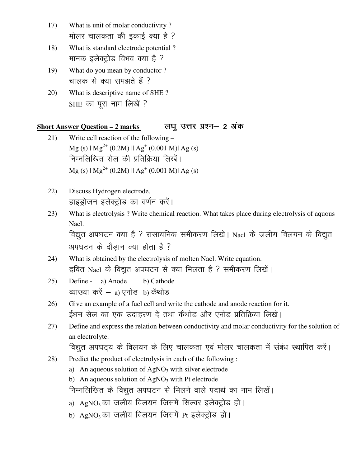- 17) What is unit of molar conductivity ? मोलर चालकता की इकाई क्या है ?
- 18) What is standard electrode potential ? मानक इलेक्ट्रोड विभव क्या है ?
- 19) What do you mean by conductor ? चालक से क्या समझते हैं ?
- 20) What is descriptive name of SHE ? SHE का पूरा नाम लिखें ?

## Short Answer Question – 2 marks **विधुली बात को अन्नी भा**रत के अंक

- 21) Write cell reaction of the following  $Mg(s)$  |  $Mg^{2+}$  (0.2M) ||  $Ag^+(0.001 \text{ M})$ | Ag (s) निम्नलिखित सेल की प्रतिक्रिया लिखें।  $Mg(s)$  |  $Mg^{2+}$  (0.2M) ||  $Ag^+(0.001 \text{ M})$ | Ag (s)
- 22) Discuss Hydrogen electrode. हाइड्रोजन इलेक्ट्रोड का वर्णन करें।
- 23) What is electrolysis ? Write chemical reaction. What takes place during electrolysis of aquous Nacl.

विद्युत अपघटन क्या है ? रासायनिक समीकरण लिखें। Nacl के जलीय विलयन के विद्युत अपघटन के दौडान क्या होता है ?

- 24) What is obtained by the electrolysis of molten Nacl. Write equation. द्रवित Nacl के विद्युत अपघटन से क्या मिलता है ? समीकरण लिखें।
- 25) Define a) Anode b) Cathode व्याख्या करें  $-$  a) एनोड b) कैथोड
- 26) Give an example of a fuel cell and write the cathode and anode reaction for it. ईधन सेल का एक उदाहरण दें तथा कैथोड और एनोड प्रतिक्रिया लिखें।
- 27) Define and express the relation between conductivity and molar conductivity for the solution of an electrolyte.

विद्युत अपघट्य के विलयन के लिए चालकता एवं मोलर चालकता में संबंध स्थापित करें।

- 28) Predict the product of electrolysis in each of the following :
	- a) An aqueous solution of  $AgNO<sub>3</sub>$  with silver electrode
	- b) An aqueous solution of  $AgNO<sub>3</sub>$  with Pt electrode
	- निम्नलिखित के विद्युत अपघटन से मिलने वाले पदार्थ का नाम लिखें।
	- a) AgNO<sub>3</sub> का जलीय विलयन जिसमें सिल्वर इलेक्ट्रोड हो।
	- b) AgNO<sub>3</sub> का जलीय विलयन जिसमें Pt इलेक्ट्रोड हो।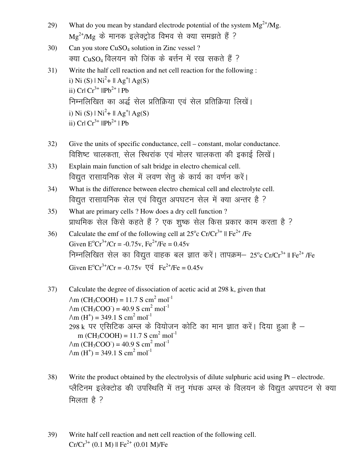- 29) What do you mean by standard electrode potential of the system  $Mg^{2+}/Mg$ .  $Mg^{2+}/Mg$  के मानक इलेक्ट्रोड विभव से क्या समझते हैं ?
- 30) Can you store CuSO4 solution in Zinc vessel ?  $T$ क्या CuSO4 विलयन को जिंक के बर्त्तन में रख सकते हैं ?
- 31) Write the half cell reaction and net cell reaction for the following : i) Ni (S)  $|Ni^2 + ||Ag^+| Ag(S)$ ii) Crl Cr<sup>3+</sup>  $\|Pb^{2+}$  | Pb निम्नलिखित का अर्द्ध सेल प्रतिक्रिया एवं सेल प्रतिक्रिया लिखें। i) Ni (S)  $|Ni^2 + ||Ag^+| Ag(S)$ ii) Crl  $Cr^{3+}$   $||Pb^{2+}||Pb$
- 32) Give the units of specific conductance, cell constant, molar conductance. विशिष्ट चालकता, सेल स्थिरांक एवं मोलर चालकता की इकाई लिखें।
- 33) Explain main function of salt bridge in electro chemical cell. विद्युत रासायनिक सेल में लवण सेतू के कार्य का वर्णन करें।
- 34) What is the difference between electro chemical cell and electrolyte cell. विद्युत रासायनिक सेल एवं विद्युत अपघटन सेल में क्या अन्तर है ?
- 35) What are primary cells ? How does a dry cell function ? प्राथमिक सेल किसे कहते हैं ? एक शुष्क सेल किस प्रकार काम करता है ?
- 36) Calculate the emf of the following cell at  $25^{\circ}$ c Cr/Cr<sup>3+</sup> || Fe<sup>2+</sup> /Fe Given  $E^{\circ}Cr^{3+}/Cr = -0.75v$ ,  $Fe^{2+}/Fe = 0.45v$ निम्नलिखित सेल का विद्युत वाहक बल ज्ञात करें। तापक्रम— 25°c Cr/Cr $^{3+}$ ॥ Fe $^{2+}$ /Fe $\,$ Given  $E^{\circ}Cr^{3+}/Cr = -0.75v$   $\nabla \vec{q}$   $Fe^{2+}/Fe = 0.45v$
- 37) Calculate the degree of dissociation of acetic acid at 298 k, given that  $\text{Am (CH}_3COOH) = 11.7 \text{ S cm}^2 \text{ mol}^{-1}$  $\text{Am (CH}_3COO^{-}) = 40.9 \text{ S cm}^2 \text{ mol}^{-1}$  $\text{Am}$  (H<sup>+</sup>) = 349.1 S cm<sup>2</sup> mol<sup>-1</sup>  $298$  k पर एसिटिक अम्ल के वियोजन कोटि का मान ज्ञात करें। दिया हुआ है m (CH<sub>3</sub>COOH) = 11.7 S cm<sup>2</sup> mol<sup>-1</sup>  $\text{Am (CH}_3COO^{\dagger}) = 40.9 \text{ S cm}^2 \text{ mol}^{-1}$  $\text{Am}$  (H<sup>+</sup>) = 349.1 S cm<sup>2</sup> mol<sup>-1</sup>
- 38) Write the product obtained by the electrolysis of dilute sulphuric acid using Pt electrode. प्लैटिनम इलेक्टोड की उपस्थिति में तनु गंधक अम्ल के विलयन के विद्युत अपघटन से क्या मिलता है $?$
- 39) Write half cell reaction and nett cell reaction of the following cell.  $Cr/Cr^{3+}$  (0.1 M)  $\parallel$  Fe<sup>2+</sup> (0.01 M)/Fe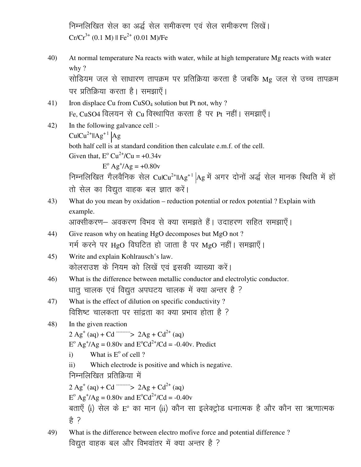निम्नलिखित सेल का अर्द्ध सेल समीकरण एवं सेल समीकरण लिखें।  $Cr/Cr^{3+}$  (0.1 M)  $\parallel$  Fe<sup>2+</sup> (0.01 M)/Fe

- 40) At normal temperature Na reacts with water, while at high temperature Mg reacts with water why? सोडियम जल से साधारण तापक्रम पर प्रतिक्रिया करता है जबकि Mg जल से उच्च तापक्रम पर प्रतिक्रिया करता है। समझाएँ।
- Iron displace Cu from CuSO<sub>4</sub> solution but Pt not, why? 41) Fe. CuSO4 विलयन से Cu विस्थापित करता है पर Pt नहीं। समझाएँ।
- In the following galvance cell :-42)  $Cu|Cu^{2+}||Ag^{+1}||Ag$ both half cell is at standard condition then calculate e.m.f. of the cell. Given that,  $E^{\circ} Cu^{2+}/Cu = +0.34v$  $E^{\circ}$  Ag<sup>+</sup>/Ag = +0.80v

निम्नलिखित गैलवैनिक सेल CulCu<sup>2+</sup>llAg<sup>+1</sup> |Ag में अगर दोनों अर्द्ध सेल मानक स्थिति में हों तो सेल का विद्युत वाहक बल ज्ञात करें।

What do you mean by oxidation - reduction potential or redox potential ? Explain with 43) example.

आक्सीकरण- अवकरण विभव से क्या समझते हैं। उदाहरण सहित समझाएँ।

Give reason why on heating HgO decomposes but MgO not? 44) गर्म करने पर HgO विघटित हो जाता है पर MgO नहीं। समझाएँ।

- 46) What is the difference between metallic conductor and electrolytic conductor. धातू चालक एवं विद्युत अपघटय चालक में क्या अन्तर है ?
- What is the effect of dilution on specific conductivity? 47) विशिष्ट चालकता पर सांद्रता का क्या प्रभाव होता है ?
- 48) In the given reaction  $2 Ag<sup>+</sup> (aq) + Cd$  --------->  $2Ag + Cd<sup>2+</sup> (aq)$  $E^{\circ}$  Ag<sup>+</sup>/Ag = 0.80v and  $E^{\circ}Cd^{2+}/Cd = -0.40v$ . Predict What is E<sup>o</sup> of cell?  $i)$ 
	- Which electrode is positive and which is negative.  $\mathbf{ii}$
	- निम्नलिखित प्रतिक्रिया में

 $E^{\circ}$  Ag<sup>+</sup>/Ag = 0.80v and  $E^{\circ}Cd^{2+}/Cd = -0.40v$ बताएँ (i) सेल के E° का मान (ii) कौन सा इलेक्ट्रोड धनात्मक है और कौन सा ऋणात्मक हे ?

49) What is the difference between electro mofive force and potential difference? विद्युत वाहक बल और विभवांतर में क्या अन्तर है ?